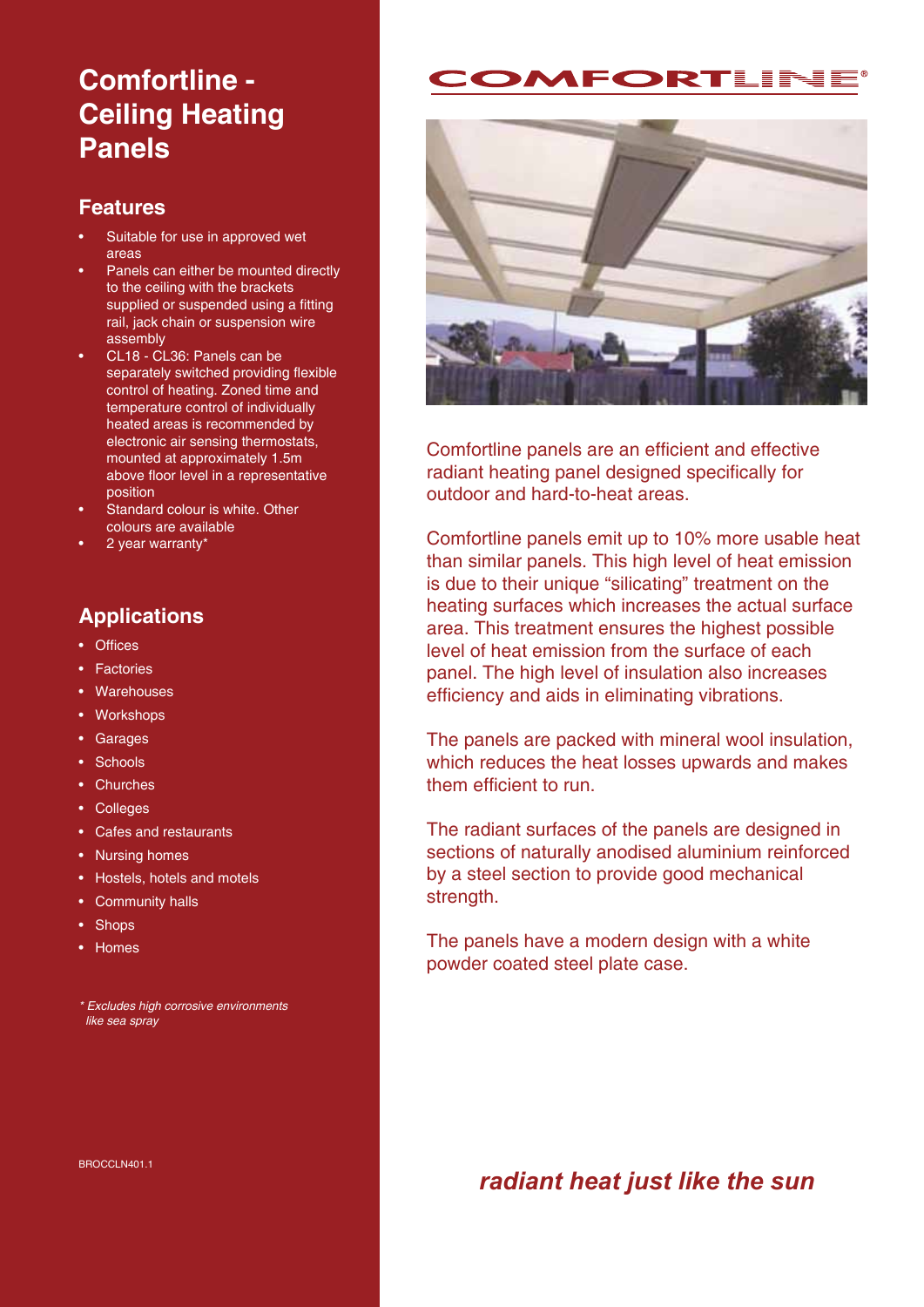# **Comfortline - Ceiling Heating Panels**

#### **Features**

- Suitable for use in approved wet areas
- Panels can either be mounted directly to the ceiling with the brackets supplied or suspended using a fitting rail, jack chain or suspension wire assembly
- CL18 CL36: Panels can be separately switched providing flexible control of heating. Zoned time and temperature control of individually heated areas is recommended by electronic air sensing thermostats, mounted at approximately 1.5m above floor level in a representative position
- Standard colour is white. Other colours are available
- 2 year warranty\*

## **Applications**

- Offices
- Factories
- Warehouses
- Workshops
- Garages
- Schools
- Churches
- Colleges
- Cafes and restaurants
- Nursing homes
- Hostels, hotels and motels
- Community halls
- Shops
- Homes

\* Excludes high corrosive environments like sea spray





Comfortline panels are an efficient and effective radiant heating panel designed specifically for outdoor and hard-to-heat areas.

Comfortline panels emit up to 10% more usable heat than similar panels. This high level of heat emission is due to their unique "silicating" treatment on the heating surfaces which increases the actual surface area. This treatment ensures the highest possible level of heat emission from the surface of each panel. The high level of insulation also increases efficiency and aids in eliminating vibrations.

The panels are packed with mineral wool insulation, which reduces the heat losses upwards and makes them efficient to run.

The radiant surfaces of the panels are designed in sections of naturally anodised aluminium reinforced by a steel section to provide good mechanical strength.

The panels have a modern design with a white powder coated steel plate case.

*radiant heat just like the sun*

BROCCLN401.1